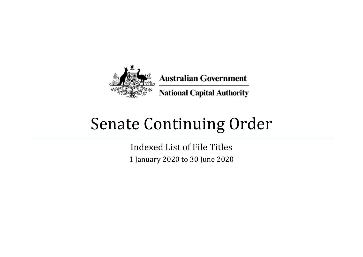

## Senate Continuing Order

Indexed List of File Titles 1 January 2020 to 30 June 2020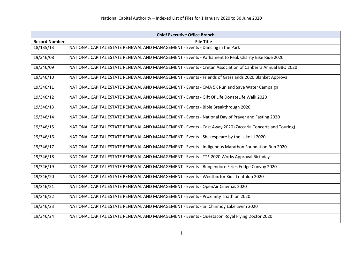| <b>Chief Executive Office Branch</b> |                                                                                                          |
|--------------------------------------|----------------------------------------------------------------------------------------------------------|
| <b>Record Number</b>                 | <b>File Title</b>                                                                                        |
| 18/135/13                            | NATIONAL CAPITAL ESTATE RENEWAL AND MANAGEMENT - Events - Dancing in the Park                            |
| 19/346/08                            | NATIONAL CAPITAL ESTATE RENEWAL AND MANAGEMENT - Events - Parliament to Peak Charity Bike Ride 2020      |
| 19/346/09                            | NATIONAL CAPITAL ESTATE RENEWAL AND MANAGEMENT - Events - Cretan Association of Canberra Annual BBQ 2020 |
| 19/346/10                            | NATIONAL CAPITAL ESTATE RENEWAL AND MANAGEMENT - Events - Friends of Grasslands 2020 Blanket Approval    |
| 19/346/11                            | NATIONAL CAPITAL ESTATE RENEWAL AND MANAGEMENT - Events - CMA 5K Run and Save Water Campaign             |
| 19/346/12                            | NATIONAL CAPITAL ESTATE RENEWAL AND MANAGEMENT - Events - Gift Of Life DonateLife Walk 2020              |
| 19/346/13                            | NATIONAL CAPITAL ESTATE RENEWAL AND MANAGEMENT - Events - Bible Breakthrough 2020                        |
| 19/346/14                            | NATIONAL CAPITAL ESTATE RENEWAL AND MANAGEMENT - Events - National Day of Prayer and Fasting 2020        |
| 19/346/15                            | NATIONAL CAPITAL ESTATE RENEWAL AND MANAGEMENT - Events - Cast Away 2020 (Zaccaria Concerts and Touring) |
| 19/346/16                            | NATIONAL CAPITAL ESTATE RENEWAL AND MANAGEMENT - Events - Shakespeare by the Lake III 2020               |
| 19/346/17                            | NATIONAL CAPITAL ESTATE RENEWAL AND MANAGEMENT - Events - Indigenous Marathon Foundation Run 2020        |
| 19/346/18                            | NATIONAL CAPITAL ESTATE RENEWAL AND MANAGEMENT - Events - *** 2020 Works Approval Birthday               |
| 19/346/19                            | NATIONAL CAPITAL ESTATE RENEWAL AND MANAGEMENT - Events - Bungendore Firies Fridge Convoy 2020           |
| 19/346/20                            | NATIONAL CAPITAL ESTATE RENEWAL AND MANAGEMENT - Events - Weetbix for Kids Triathlon 2020                |
| 19/346/21                            | NATIONAL CAPITAL ESTATE RENEWAL AND MANAGEMENT - Events - OpenAir Cinemas 2020                           |
| 19/346/22                            | NATIONAL CAPITAL ESTATE RENEWAL AND MANAGEMENT - Events - Proximity Triathlon 2020                       |
| 19/346/23                            | NATIONAL CAPITAL ESTATE RENEWAL AND MANAGEMENT - Events - Sri Chinmoy Lake Swim 2020                     |
| 19/346/24                            | NATIONAL CAPITAL ESTATE RENEWAL AND MANAGEMENT - Events - Questacon Royal Flying Doctor 2020             |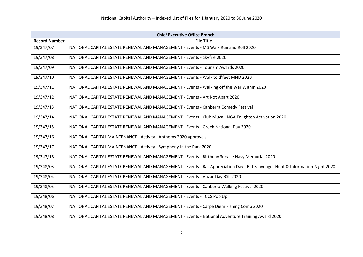| <b>Chief Executive Office Branch</b> |                                                                                                                              |
|--------------------------------------|------------------------------------------------------------------------------------------------------------------------------|
| <b>Record Number</b>                 | <b>File Title</b>                                                                                                            |
| 19/347/07                            | NATIONAL CAPITAL ESTATE RENEWAL AND MANAGEMENT - Events - MS Walk Run and Roll 2020                                          |
| 19/347/08                            | NATIONAL CAPITAL ESTATE RENEWAL AND MANAGEMENT - Events - Skyfire 2020                                                       |
| 19/347/09                            | NATIONAL CAPITAL ESTATE RENEWAL AND MANAGEMENT - Events - Tourism Awards 2020                                                |
| 19/347/10                            | NATIONAL CAPITAL ESTATE RENEWAL AND MANAGEMENT - Events - Walk to d'feet MND 2020                                            |
| 19/347/11                            | NATIONAL CAPITAL ESTATE RENEWAL AND MANAGEMENT - Events - Walking off the War Within 2020                                    |
| 19/347/12                            | NATIONAL CAPITAL ESTATE RENEWAL AND MANAGEMENT - Events - Art Not Apart 2020                                                 |
| 19/347/13                            | NATIONAL CAPITAL ESTATE RENEWAL AND MANAGEMENT - Events - Canberra Comedy Festival                                           |
| 19/347/14                            | NATIONAL CAPITAL ESTATE RENEWAL AND MANAGEMENT - Events - Club Muva - NGA Enlighten Activation 2020                          |
| 19/347/15                            | NATIONAL CAPITAL ESTATE RENEWAL AND MANAGEMENT - Events - Greek National Day 2020                                            |
| 19/347/16                            | NATIONAL CAPITAL MAINTENANCE - Activity - Anthems 2020 approvals                                                             |
| 19/347/17                            | NATIONAL CAPITAL MAINTENANCE - Activity - Symphony In the Park 2020                                                          |
| 19/347/18                            | NATIONAL CAPITAL ESTATE RENEWAL AND MANAGEMENT - Events - Birthday Service Navy Memorial 2020                                |
| 19/348/03                            | NATIONAL CAPITAL ESTATE RENEWAL AND MANAGEMENT - Events - Bat Appreciation Day - Bat Scavenger Hunt & Information Night 2020 |
| 19/348/04                            | NATIONAL CAPITAL ESTATE RENEWAL AND MANAGEMENT - Events - Anzac Day RSL 2020                                                 |
| 19/348/05                            | NATIONAL CAPITAL ESTATE RENEWAL AND MANAGEMENT - Events - Canberra Walking Festival 2020                                     |
| 19/348/06                            | NATIONAL CAPITAL ESTATE RENEWAL AND MANAGEMENT - Events - TCCS Pop Up                                                        |
| 19/348/07                            | NATIONAL CAPITAL ESTATE RENEWAL AND MANAGEMENT - Events - Carpe Diem Fishing Comp 2020                                       |
| 19/348/08                            | NATIONAL CAPITAL ESTATE RENEWAL AND MANAGEMENT - Events - National Adventure Training Award 2020                             |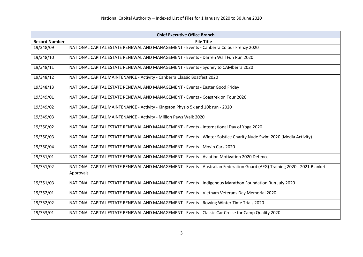|                      | <b>Chief Executive Office Branch</b>                                                                                                  |
|----------------------|---------------------------------------------------------------------------------------------------------------------------------------|
| <b>Record Number</b> | <b>File Title</b>                                                                                                                     |
| 19/348/09            | NATIONAL CAPITAL ESTATE RENEWAL AND MANAGEMENT - Events - Canberra Colour Frenzy 2020                                                 |
| 19/348/10            | NATIONAL CAPITAL ESTATE RENEWAL AND MANAGEMENT - Events - Darren Wall Fun Run 2020                                                    |
| 19/348/11            | NATIONAL CAPITAL ESTATE RENEWAL AND MANAGEMENT - Events - Sydney to CAMberra 2020                                                     |
| 19/348/12            | NATIONAL CAPITAL MAINTENANCE - Activity - Canberra Classic Boatfest 2020                                                              |
| 19/348/13            | NATIONAL CAPITAL ESTATE RENEWAL AND MANAGEMENT - Events - Easter Good Friday                                                          |
| 19/349/01            | NATIONAL CAPITAL ESTATE RENEWAL AND MANAGEMENT - Events - Coastrek on Tour 2020                                                       |
| 19/349/02            | NATIONAL CAPITAL MAINTENANCE - Activity - Kingston Physio 5k and 10k run - 2020                                                       |
| 19/349/03            | NATIONAL CAPITAL MAINTENANCE - Activity - Million Paws Walk 2020                                                                      |
| 19/350/02            | NATIONAL CAPITAL ESTATE RENEWAL AND MANAGEMENT - Events - International Day of Yoga 2020                                              |
| 19/350/03            | NATIONAL CAPITAL ESTATE RENEWAL AND MANAGEMENT - Events - Winter Solstice Charity Nude Swim 2020 (Media Activity)                     |
| 19/350/04            | NATIONAL CAPITAL ESTATE RENEWAL AND MANAGEMENT - Events - Movin Cars 2020                                                             |
| 19/351/01            | NATIONAL CAPITAL ESTATE RENEWAL AND MANAGEMENT - Events - Aviation Motivation 2020 Defence                                            |
| 19/351/02            | NATIONAL CAPITAL ESTATE RENEWAL AND MANAGEMENT - Events - Australian Federation Guard (AFG) Training 2020 - 2021 Blanket<br>Approvals |
|                      |                                                                                                                                       |
| 19/351/03            | NATIONAL CAPITAL ESTATE RENEWAL AND MANAGEMENT - Events - Indigenous Marathon Foundation Run July 2020                                |
| 19/352/01            | NATIONAL CAPITAL ESTATE RENEWAL AND MANAGEMENT - Events - Vietnam Veterans Day Memorial 2020                                          |
| 19/352/02            | NATIONAL CAPITAL ESTATE RENEWAL AND MANAGEMENT - Events - Rowing Winter Time Trials 2020                                              |
| 19/353/01            | NATIONAL CAPITAL ESTATE RENEWAL AND MANAGEMENT - Events - Classic Car Cruise for Camp Quality 2020                                    |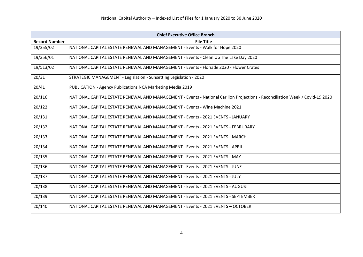| <b>Chief Executive Office Branch</b> |                                                                                                                               |
|--------------------------------------|-------------------------------------------------------------------------------------------------------------------------------|
| <b>Record Number</b>                 | <b>File Title</b>                                                                                                             |
| 19/355/02                            | NATIONAL CAPITAL ESTATE RENEWAL AND MANAGEMENT - Events - Walk for Hope 2020                                                  |
| 19/356/01                            | NATIONAL CAPITAL ESTATE RENEWAL AND MANAGEMENT - Events - Clean Up The Lake Day 2020                                          |
| 19/513/02                            | NATIONAL CAPITAL ESTATE RENEWAL AND MANAGEMENT - Events - Floriade 2020 - Flower Crates                                       |
| 20/31                                | STRATEGIC MANAGEMENT - Legislation - Sunsetting Legislation - 2020                                                            |
| 20/41                                | PUBLICATION - Agency Publications NCA Marketing Media 2019                                                                    |
| 20/116                               | NATIONAL CAPITAL ESTATE RENEWAL AND MANAGEMENT - Events - National Carillon Projections - Reconciliation Week / Covid-19 2020 |
| 20/122                               | NATIONAL CAPITAL ESTATE RENEWAL AND MANAGEMENT - Events - Wine Machine 2021                                                   |
| 20/131                               | NATIONAL CAPITAL ESTATE RENEWAL AND MANAGEMENT - Events - 2021 EVENTS - JANUARY                                               |
| 20/132                               | NATIONAL CAPITAL ESTATE RENEWAL AND MANAGEMENT - Events - 2021 EVENTS - FEBRURARY                                             |
| 20/133                               | NATIONAL CAPITAL ESTATE RENEWAL AND MANAGEMENT - Events - 2021 EVENTS - MARCH                                                 |
| 20/134                               | NATIONAL CAPITAL ESTATE RENEWAL AND MANAGEMENT - Events - 2021 EVENTS - APRIL                                                 |
| 20/135                               | NATIONAL CAPITAL ESTATE RENEWAL AND MANAGEMENT - Events - 2021 EVENTS - MAY                                                   |
| 20/136                               | NATIONAL CAPITAL ESTATE RENEWAL AND MANAGEMENT - Events - 2021 EVENTS - JUNE                                                  |
| 20/137                               | NATIONAL CAPITAL ESTATE RENEWAL AND MANAGEMENT - Events - 2021 EVENTS - JULY                                                  |
| 20/138                               | NATIONAL CAPITAL ESTATE RENEWAL AND MANAGEMENT - Events - 2021 EVENTS - AUGUST                                                |
| 20/139                               | NATIONAL CAPITAL ESTATE RENEWAL AND MANAGEMENT - Events - 2021 EVENTS - SEPTEMBER                                             |
| 20/140                               | NATIONAL CAPITAL ESTATE RENEWAL AND MANAGEMENT - Events - 2021 EVENTS - OCTOBER                                               |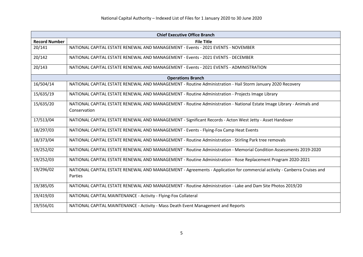| <b>Chief Executive Office Branch</b> |                                                                                                                          |
|--------------------------------------|--------------------------------------------------------------------------------------------------------------------------|
| <b>Record Number</b>                 | <b>File Title</b>                                                                                                        |
| 20/141                               | NATIONAL CAPITAL ESTATE RENEWAL AND MANAGEMENT - Events - 2021 EVENTS - NOVEMBER                                         |
| 20/142                               | NATIONAL CAPITAL ESTATE RENEWAL AND MANAGEMENT - Events - 2021 EVENTS - DECEMBER                                         |
| 20/143                               | NATIONAL CAPITAL ESTATE RENEWAL AND MANAGEMENT - Events - 2021 EVENTS - ADMINISTRATION                                   |
|                                      | <b>Operations Branch</b>                                                                                                 |
| 16/504/14                            | NATIONAL CAPITAL ESTATE RENEWAL AND MANAGEMENT - Routine Administration - Hail Storm January 2020 Recovery               |
| 15/635/19                            | NATIONAL CAPITAL ESTATE RENEWAL AND MANAGEMENT - Routine Administration - Projects Image Library                         |
| 15/635/20                            | NATIONAL CAPITAL ESTATE RENEWAL AND MANAGEMENT - Routine Administration - National Estate Image Library - Animals and    |
|                                      | Conservation                                                                                                             |
| 17/513/04                            | NATIONAL CAPITAL ESTATE RENEWAL AND MANAGEMENT - Significant Records - Acton West Jetty - Asset Handover                 |
| 18/297/03                            | NATIONAL CAPITAL ESTATE RENEWAL AND MANAGEMENT - Events - Flying-Fox Camp Heat Events                                    |
| 18/373/04                            | NATIONAL CAPITAL ESTATE RENEWAL AND MANAGEMENT - Routine Administration - Stirling Park tree removals                    |
| 19/252/02                            | NATIONAL CAPITAL ESTATE RENEWAL AND MANAGEMENT - Routine Administration - Memorial Condition Assessments 2019-2020       |
| 19/252/03                            | NATIONAL CAPITAL ESTATE RENEWAL AND MANAGEMENT - Routine Administration - Rose Replacement Program 2020-2021             |
| 19/296/02                            | NATIONAL CAPITAL ESTATE RENEWAL AND MANAGEMENT - Agreements - Application for commercial activity - Canberra Cruises and |
|                                      | Parties                                                                                                                  |
| 19/385/05                            | NATIONAL CAPITAL ESTATE RENEWAL AND MANAGEMENT - Routine Administration - Lake and Dam Site Photos 2019/20               |
| 19/419/03                            | NATIONAL CAPITAL MAINTENANCE - Activity - Flying-Fox Collateral                                                          |
| 19/556/01                            | NATIONAL CAPITAL MAINTENANCE - Activity - Mass Death Event Management and Reports                                        |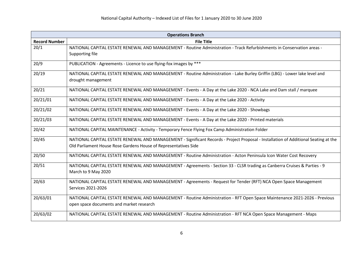|                      | <b>Operations Branch</b>                                                                                                            |  |
|----------------------|-------------------------------------------------------------------------------------------------------------------------------------|--|
| <b>Record Number</b> | <b>File Title</b>                                                                                                                   |  |
| 20/1                 | NATIONAL CAPITAL ESTATE RENEWAL AND MANAGEMENT - Routine Administration - Track Refurbishments in Conservation areas -              |  |
|                      | Supporting file                                                                                                                     |  |
| 20/9                 | PUBLICATION - Agreements - Licence to use flying-fox images by ***                                                                  |  |
| 20/19                | NATIONAL CAPITAL ESTATE RENEWAL AND MANAGEMENT - Routine Administration - Lake Burley Griffin (LBG) - Lower lake level and          |  |
|                      | drought management                                                                                                                  |  |
| 20/21                | NATIONAL CAPITAL ESTATE RENEWAL AND MANAGEMENT - Events - A Day at the Lake 2020 - NCA Lake and Dam stall / marquee                 |  |
| 20/21/01             | NATIONAL CAPITAL ESTATE RENEWAL AND MANAGEMENT - Events - A Day at the Lake 2020 - Activity                                         |  |
| 20/21/02             | NATIONAL CAPITAL ESTATE RENEWAL AND MANAGEMENT - Events - A Day at the Lake 2020 - Showbags                                         |  |
| 20/21/03             | NATIONAL CAPITAL ESTATE RENEWAL AND MANAGEMENT - Events - A Day at the Lake 2020 - Printed materials                                |  |
| 20/42                | NATIONAL CAPITAL MAINTENANCE - Activity - Temporary Fence Flying Fox Camp Administration Folder                                     |  |
| 20/45                | NATIONAL CAPITAL ESTATE RENEWAL AND MANAGEMENT - Significant Records - Project Proposal - Installation of Additional Seating at the |  |
|                      | Old Parliament House Rose Gardens House of Representatives Side                                                                     |  |
| 20/50                | NATIONAL CAPITAL ESTATE RENEWAL AND MANAGEMENT - Routine Administration - Acton Peninsula Icon Water Cost Recovery                  |  |
| 20/51                | NATIONAL CAPITAL ESTATE RENEWAL AND MANAGEMENT - Agreements - Section 33 - CLSR trading as Canberra Cruises & Parties - 9           |  |
|                      | March to 9 May 2020                                                                                                                 |  |
| 20/63                | NATIONAL CAPITAL ESTATE RENEWAL AND MANAGEMENT - Agreements - Request for Tender (RFT) NCA Open Space Management                    |  |
|                      | Services 2021-2026                                                                                                                  |  |
| 20/63/01             | NATIONAL CAPITAL ESTATE RENEWAL AND MANAGEMENT - Routine Administration - RFT Open Space Maintenance 2021-2026 - Previous           |  |
|                      | open space documents and market research                                                                                            |  |
| 20/63/02             | NATIONAL CAPITAL ESTATE RENEWAL AND MANAGEMENT - Routine Administration - RFT NCA Open Space Management - Maps                      |  |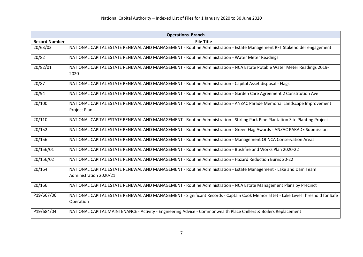| <b>Operations Branch</b> |                                                                                                                                               |
|--------------------------|-----------------------------------------------------------------------------------------------------------------------------------------------|
| <b>Record Number</b>     | <b>File Title</b>                                                                                                                             |
| 20/63/03                 | NATIONAL CAPITAL ESTATE RENEWAL AND MANAGEMENT - Routine Administration - Estate Management RFT Stakeholder engagement                        |
| 20/82                    | NATIONAL CAPITAL ESTATE RENEWAL AND MANAGEMENT - Routine Administration - Water Meter Readings                                                |
| 20/82/01                 | NATIONAL CAPITAL ESTATE RENEWAL AND MANAGEMENT - Routine Administration - NCA Estate Potable Water Meter Readings 2019-<br>2020               |
| 20/87                    | NATIONAL CAPITAL ESTATE RENEWAL AND MANAGEMENT - Routine Administration - Capital Asset disposal - Flags                                      |
| 20/94                    | NATIONAL CAPITAL ESTATE RENEWAL AND MANAGEMENT - Routine Administration - Garden Care Agreement 2 Constitution Ave                            |
| 20/100                   | NATIONAL CAPITAL ESTATE RENEWAL AND MANAGEMENT - Routine Administration - ANZAC Parade Memorial Landscape Improvement<br>Project Plan         |
| 20/110                   | NATIONAL CAPITAL ESTATE RENEWAL AND MANAGEMENT - Routine Administration - Stirling Park Pine Plantation Site Planting Project                 |
| 20/152                   | NATIONAL CAPITAL ESTATE RENEWAL AND MANAGEMENT - Routine Administration - Green Flag Awards - ANZAC PARADE Submission                         |
| 20/156                   | NATIONAL CAPITAL ESTATE RENEWAL AND MANAGEMENT - Routine Administration - Management Of NCA Conservation Areas                                |
| 20/156/01                | NATIONAL CAPITAL ESTATE RENEWAL AND MANAGEMENT - Routine Administration - Bushfire and Works Plan 2020-22                                     |
| 20/156/02                | NATIONAL CAPITAL ESTATE RENEWAL AND MANAGEMENT - Routine Administration - Hazard Reduction Burns 20-22                                        |
| 20/164                   | NATIONAL CAPITAL ESTATE RENEWAL AND MANAGEMENT - Routine Administration - Estate Management - Lake and Dam Team<br>Administration 2020/21     |
| 20/166                   | NATIONAL CAPITAL ESTATE RENEWAL AND MANAGEMENT - Routine Administration - NCA Estate Management Plans by Precinct                             |
| P19/667/06               | NATIONAL CAPITAL ESTATE RENEWAL AND MANAGEMENT - Significant Records - Captain Cook Memorial Jet - Lake Level Threshold for Safe<br>Operation |
| P19/684/04               | NATIONAL CAPITAL MAINTENANCE - Activity - Engineering Advice - Commonwealth Place Chillers & Boilers Replacement                              |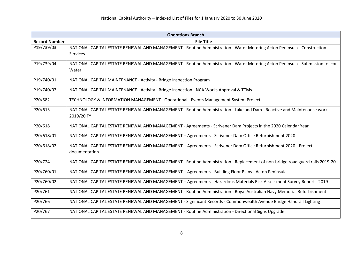| <b>Operations Branch</b> |                                                                                                                                        |
|--------------------------|----------------------------------------------------------------------------------------------------------------------------------------|
| <b>Record Number</b>     | <b>File Title</b>                                                                                                                      |
| P19/739/03               | NATIONAL CAPITAL ESTATE RENEWAL AND MANAGEMENT - Routine Administration - Water Metering Acton Peninsula - Construction<br>Services    |
| P19/739/04               | NATIONAL CAPITAL ESTATE RENEWAL AND MANAGEMENT - Routine Administration - Water Metering Acton Peninsula - Submission to Icon<br>Water |
| P19/740/01               | NATIONAL CAPITAL MAINTENANCE - Activity - Bridge Inspection Program                                                                    |
| P19/740/02               | NATIONAL CAPITAL MAINTENANCE - Activity - Bridge Inspection - NCA Works Approval & TTMs                                                |
| P20/582                  | TECHNOLOGY & INFORMATION MANAGEMENT - Operational - Events Management System Project                                                   |
| P20/613                  | NATIONAL CAPITAL ESTATE RENEWAL AND MANAGEMENT - Routine Administration - Lake and Dam - Reactive and Maintenance work -<br>2019/20 FY |
| P20/618                  | NATIONAL CAPITAL ESTATE RENEWAL AND MANAGEMENT - Agreements - Scrivener Dam Projects in the 2020 Calendar Year                         |
| P20/618/01               | NATIONAL CAPITAL ESTATE RENEWAL AND MANAGEMENT - Agreements - Scrivener Dam Office Refurbishment 2020                                  |
| P20/618/02               | NATIONAL CAPITAL ESTATE RENEWAL AND MANAGEMENT - Agreements - Scrivener Dam Office Refurbishment 2020 - Project<br>documentation       |
| P20/724                  | NATIONAL CAPITAL ESTATE RENEWAL AND MANAGEMENT - Routine Administration - Replacement of non-bridge road guard rails 2019-20           |
| P20/760/01               | NATIONAL CAPITAL ESTATE RENEWAL AND MANAGEMENT - Agreements - Building Floor Plans - Acton Peninsula                                   |
| P20/760/02               | NATIONAL CAPITAL ESTATE RENEWAL AND MANAGEMENT - Agreements - Hazardous Materials Risk Assessment Survey Report - 2019                 |
| P20/761                  | NATIONAL CAPITAL ESTATE RENEWAL AND MANAGEMENT - Routine Administration - Royal Australian Navy Memorial Refurbishment                 |
| P20/766                  | NATIONAL CAPITAL ESTATE RENEWAL AND MANAGEMENT - Significant Records - Commonwealth Avenue Bridge Handrail Lighting                    |
| P20/767                  | NATIONAL CAPITAL ESTATE RENEWAL AND MANAGEMENT - Routine Administration - Directional Signs Upgrade                                    |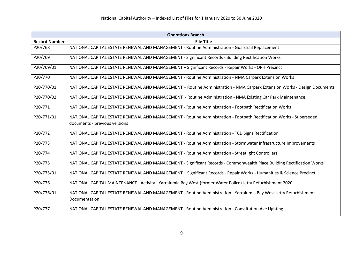| <b>Operations Branch</b> |                                                                                                                          |
|--------------------------|--------------------------------------------------------------------------------------------------------------------------|
| <b>Record Number</b>     | <b>File Title</b>                                                                                                        |
| P20/768                  | NATIONAL CAPITAL ESTATE RENEWAL AND MANAGEMENT - Routine Administration - Guardrail Replacement                          |
| P20/769                  | NATIONAL CAPITAL ESTATE RENEWAL AND MANAGEMENT - Significant Records - Building Rectification Works                      |
| P20/769/01               | NATIONAL CAPITAL ESTATE RENEWAL AND MANAGEMENT - Significant Records - Repair Works - OPH Precinct                       |
| P20/770                  | NATIONAL CAPITAL ESTATE RENEWAL AND MANAGEMENT - Routine Administration - NMA Carpark Extension Works                    |
| P20/770/01               | NATIONAL CAPITAL ESTATE RENEWAL AND MANAGEMENT - Routine Administration - NMA Carpark Extension Works - Design Documents |
| P20/770/02               | NATIONAL CAPITAL ESTATE RENEWAL AND MANAGEMENT - Routine Administration - NMA Existing Car Park Maintenance              |
| P20/771                  | NATIONAL CAPITAL ESTATE RENEWAL AND MANAGEMENT - Routine Administration - Footpath Rectification Works                   |
| P20/771/01               | NATIONAL CAPITAL ESTATE RENEWAL AND MANAGEMENT - Routine Administration - Footpath Rectification Works - Superseded      |
|                          | documents - previous versions                                                                                            |
| P20/772                  | NATIONAL CAPITAL ESTATE RENEWAL AND MANAGEMENT - Routine Administration - TCD Signs Rectification                        |
| P20/773                  | NATIONAL CAPITAL ESTATE RENEWAL AND MANAGEMENT - Routine Administration - Stormwater Infrastructure Improvements         |
| P20/774                  | NATIONAL CAPITAL ESTATE RENEWAL AND MANAGEMENT - Routine Administration - Streetlight Controllers                        |
| P20/775                  | NATIONAL CAPITAL ESTATE RENEWAL AND MANAGEMENT - Significant Records - Commonwealth Place Building Rectification Works   |
| P20/775/01               | NATIONAL CAPITAL ESTATE RENEWAL AND MANAGEMENT - Significant Records - Repair Works - Humanities & Science Precinct      |
| P20/776                  | NATIONAL CAPITAL MAINTENANCE - Activity - Yarralumla Bay West (former Water Police) Jetty Refurbishment 2020             |
| P20/776/01               | NATIONAL CAPITAL ESTATE RENEWAL AND MANAGEMENT - Routine Administration - Yarralumla Bay West Jetty Refurbishment -      |
|                          | Documentation                                                                                                            |
| P20/777                  | NATIONAL CAPITAL ESTATE RENEWAL AND MANAGEMENT - Routine Administration - Constitution Ave Lighting                      |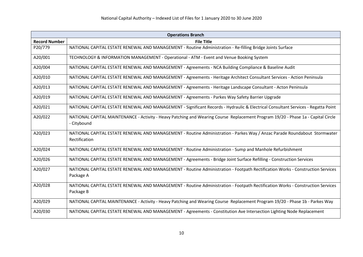| <b>Operations Branch</b> |                                                                                                                                                  |
|--------------------------|--------------------------------------------------------------------------------------------------------------------------------------------------|
| <b>Record Number</b>     | <b>File Title</b>                                                                                                                                |
| P20/779                  | NATIONAL CAPITAL ESTATE RENEWAL AND MANAGEMENT - Routine Administration - Re-filling Bridge Joints Surface                                       |
| A20/001                  | TECHNOLOGY & INFORMATION MANAGEMENT - Operational - ATM - Event and Venue Booking System                                                         |
| A20/004                  | NATIONAL CAPITAL ESTATE RENEWAL AND MANAGEMENT - Agreements - NCA Building Compliance & Baseline Audit                                           |
| A20/010                  | NATIONAL CAPITAL ESTATE RENEWAL AND MANAGEMENT - Agreements - Heritage Architect Consultant Services - Action Peninsula                          |
| A20/013                  | NATIONAL CAPITAL ESTATE RENEWAL AND MANAGEMENT - Agreements - Heritage Landscape Consultant - Acton Peninsula                                    |
| A20/019                  | NATIONAL CAPITAL ESTATE RENEWAL AND MANAGEMENT - Agreements - Parkes Way Safety Barrier Upgrade                                                  |
| A20/021                  | NATIONAL CAPITAL ESTATE RENEWAL AND MANAGEMENT - Significant Records - Hydraulic & Electrical Consultant Services - Regatta Point                |
| A20/022                  | NATIONAL CAPITAL MAINTENANCE - Activity - Heavy Patching and Wearing Course Replacement Program 19/20 - Phase 1a - Capital Circle<br>- Citybound |
| A20/023                  | NATIONAL CAPITAL ESTATE RENEWAL AND MANAGEMENT - Routine Administration - Parkes Way / Anzac Parade Roundabout Stormwater<br>Rectification       |
| A20/024                  | NATIONAL CAPITAL ESTATE RENEWAL AND MANAGEMENT - Routine Administration - Sump and Manhole Refurbishment                                         |
| A20/026                  | NATIONAL CAPITAL ESTATE RENEWAL AND MANAGEMENT - Agreements - Bridge Joint Surface Refilling - Construction Services                             |
| A20/027                  | NATIONAL CAPITAL ESTATE RENEWAL AND MANAGEMENT - Routine Administration - Footpath Rectification Works - Construction Services<br>Package A      |
| A20/028                  | NATIONAL CAPITAL ESTATE RENEWAL AND MANAGEMENT - Routine Administration - Footpath Rectification Works - Construction Services<br>Package B      |
| A20/029                  | NATIONAL CAPITAL MAINTENANCE - Activity - Heavy Patching and Wearing Course Replacement Program 19/20 - Phase 1b - Parkes Way                    |
| A20/030                  | NATIONAL CAPITAL ESTATE RENEWAL AND MANAGEMENT - Agreements - Constitution Ave Intersection Lighting Node Replacement                            |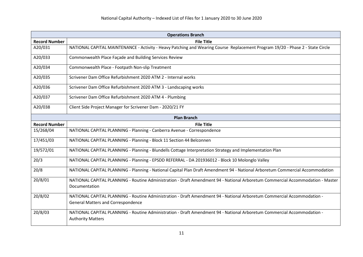| <b>Operations Branch</b> |                                                                                                                                                                      |
|--------------------------|----------------------------------------------------------------------------------------------------------------------------------------------------------------------|
| <b>Record Number</b>     | <b>File Title</b>                                                                                                                                                    |
| A20/031                  | NATIONAL CAPITAL MAINTENANCE - Activity - Heavy Patching and Wearing Course Replacement Program 19/20 - Phase 2 - State Circle                                       |
| A20/033                  | Commonwealth Place Façade and Building Services Review                                                                                                               |
| A20/034                  | Commonwealth Place - Footpath Non-slip Treatment                                                                                                                     |
| A20/035                  | Scrivener Dam Office Refurbishment 2020 ATM 2 - Internal works                                                                                                       |
| A20/036                  | Scrivener Dam Office Refurbishment 2020 ATM 3 - Landscaping works                                                                                                    |
| A20/037                  | Scrivener Dam Office Refurbishment 2020 ATM 4 - Plumbing                                                                                                             |
| A20/038                  | Client Side Project Manager for Scrivener Dam - 2020/21 FY                                                                                                           |
|                          | <b>Plan Branch</b>                                                                                                                                                   |
| <b>Record Number</b>     | <b>File Title</b>                                                                                                                                                    |
| 15/268/04                | NATIONAL CAPITAL PLANNING - Planning - Canberra Avenue - Correspondence                                                                                              |
| 17/451/03                | NATIONAL CAPITAL PLANNING - Planning - Block 11 Section 44 Belconnen                                                                                                 |
| 19/572/01                | NATIONAL CAPITAL PLANNING - Planning - Blundells Cottage Interpretation Strategy and Implementation Plan                                                             |
| 20/3                     | NATIONAL CAPITAL PLANNING - Planning - EPSDD REFERRAL - DA 201936012 - Block 10 Molonglo Valley                                                                      |
| 20/8                     | NATIONAL CAPITAL PLANNING - Planning - National Capital Plan Draft Amendment 94 - National Arboretum Commercial Accommodation                                        |
| 20/8/01                  | NATIONAL CAPITAL PLANNING - Routine Administration - Draft Amendment 94 - National Arboretum Commercial Accommodation - Master<br>Documentation                      |
| 20/8/02                  | NATIONAL CAPITAL PLANNING - Routine Administration - Draft Amendment 94 - National Arboretum Commercial Accommodation -<br><b>General Matters and Correspondence</b> |
| 20/8/03                  | NATIONAL CAPITAL PLANNING - Routine Administration - Draft Amendment 94 - National Arboretum Commercial Accommodation -<br><b>Authority Matters</b>                  |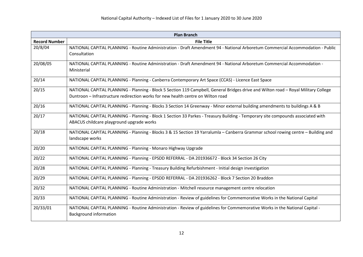|                      | <b>Plan Branch</b>                                                                                                                             |
|----------------------|------------------------------------------------------------------------------------------------------------------------------------------------|
| <b>Record Number</b> | <b>File Title</b>                                                                                                                              |
| 20/8/04              | NATIONAL CAPITAL PLANNING - Routine Administration - Draft Amendment 94 - National Arboretum Commercial Accommodation - Public<br>Consultation |
| 20/08/05             | NATIONAL CAPITAL PLANNING - Routine Administration - Draft Amendment 94 - National Arboretum Commercial Accommodation -<br>Ministerial         |
| 20/14                | NATIONAL CAPITAL PLANNING - Planning - Canberra Contemporary Art Space (CCAS) - Licence East Space                                             |
| 20/15                | NATIONAL CAPITAL PLANNING - Planning - Block 5 Section 119 Campbell, General Bridges drive and Wilton road - Royal Military College            |
|                      | Duntroon - Infrastructure redirection works for new health centre on Wilton road                                                               |
| 20/16                | NATIONAL CAPITAL PLANNING - Planning - Blocks 3 Section 14 Greenway - Minor external building amendments to buildings A & B                    |
| 20/17                | NATIONAL CAPITAL PLANNING - Planning - Block 1 Section 33 Parkes - Treasury Building - Temporary site compounds associated with                |
|                      | ABACUS childcare playground upgrade works                                                                                                      |
| 20/18                | NATIONAL CAPITAL PLANNING - Planning - Blocks 3 & 15 Section 19 Yarralumla - Canberra Grammar school rowing centre - Building and              |
|                      | landscape works                                                                                                                                |
| 20/20                | NATIONAL CAPITAL PLANNING - Planning - Monaro Highway Upgrade                                                                                  |
| 20/22                | NATIONAL CAPITAL PLANNING - Planning - EPSDD REFERRAL - DA 201936672 - Block 34 Section 26 City                                                |
| 20/28                | NATIONAL CAPITAL PLANNING - Planning - Treasury Building Refurbishment - Initial design investigation                                          |
| 20/29                | NATIONAL CAPITAL PLANNING - Planning - EPSDD REFERRAL - DA 201936262 - Block 7 Section 20 Braddon                                              |
| 20/32                | NATIONAL CAPITAL PLANNING - Routine Administration - Mitchell resource management centre relocation                                            |
| 20/33                | NATIONAL CAPITAL PLANNING - Routine Administration - Review of guidelines for Commemorative Works in the National Capital                      |
| 20/33/01             | NATIONAL CAPITAL PLANNING - Routine Administration - Review of guidelines for Commemorative Works in the National Capital -                    |
|                      | <b>Background information</b>                                                                                                                  |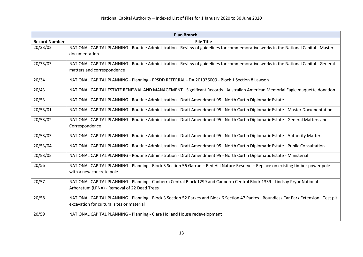| <b>Plan Branch</b>   |                                                                                                                                                                                       |
|----------------------|---------------------------------------------------------------------------------------------------------------------------------------------------------------------------------------|
| <b>Record Number</b> | <b>File Title</b>                                                                                                                                                                     |
| 20/33/02             | NATIONAL CAPITAL PLANNING - Routine Administration - Review of guidelines for commemorative works in the National Capital - Master<br>documentation                                   |
| 20/33/03             | NATIONAL CAPITAL PLANNING - Routine Administration - Review of guidelines for commemorative works in the National Capital - General<br>matters and correspondence                     |
| 20/34                | NATIONAL CAPITAL PLANNING - Planning - EPSDD REFERRAL - DA 201936009 - Block 1 Section 8 Lawson                                                                                       |
| 20/43                | NATIONAL CAPITAL ESTATE RENEWAL AND MANAGEMENT - Significant Records - Australian American Memorial Eagle maquette donation                                                           |
| 20/53                | NATIONAL CAPITAL PLANNING - Routine Administration - Draft Amendment 95 - North Curtin Diplomatic Estate                                                                              |
| 20/53/01             | NATIONAL CAPITAL PLANNING - Routine Administration - Draft Amendment 95 - North Curtin Diplomatic Estate - Master Documentation                                                       |
| 20/53/02             | NATIONAL CAPITAL PLANNING - Routine Administration - Draft Amendment 95 - North Curtin Diplomatic Estate - General Matters and<br>Correspondence                                      |
| 20/53/03             | NATIONAL CAPITAL PLANNING - Routine Administration - Draft Amendment 95 - North Curtin Diplomatic Estate - Authority Matters                                                          |
| 20/53/04             | NATIONAL CAPITAL PLANNING - Routine Administration - Draft Amendment 95 - North Curtin Diplomatic Estate - Public Consultation                                                        |
| 20/53/05             | NATIONAL CAPITAL PLANNING - Routine Administration - Draft Amendment 95 - North Curtin Diplomatic Estate - Ministerial                                                                |
| 20/56                | NATIONAL CAPITAL PLANNING - Planning - Block 3 Section 56 Garran - Red Hill Nature Reserve - Replace on existing timber power pole<br>with a new concrete pole                        |
| 20/57                | NATIONAL CAPITAL PLANNING - Planning - Canberra Central Block 1299 and Canberra Central Block 1339 - Lindsay Pryor National<br>Arboretum (LPNA) - Removal of 22 Dead Trees            |
| 20/58                | NATIONAL CAPITAL PLANNING - Planning - Block 3 Section 52 Parkes and Block 6 Section 47 Parkes - Boundless Car Park Extension - Test pit<br>excavation for cultural sites or material |
| 20/59                | NATIONAL CAPITAL PLANNING - Planning - Clare Holland House redevelopment                                                                                                              |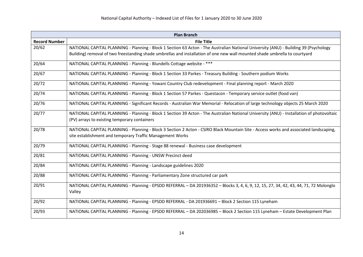| <b>Plan Branch</b>   |                                                                                                                                           |
|----------------------|-------------------------------------------------------------------------------------------------------------------------------------------|
| <b>Record Number</b> | <b>File Title</b>                                                                                                                         |
| 20/62                | NATIONAL CAPITAL PLANNING - Planning - Block 1 Section 63 Acton - The Australian National University (ANU) - Building 39 (Psychology      |
|                      | Building) removal of two freestanding shade umbrellas and installation of one new wall mounted shade umbrella to courtyard                |
| 20/64                | NATIONAL CAPITAL PLANNING - Planning - Blundells Cottage website - ***                                                                    |
| 20/67                | NATIONAL CAPITAL PLANNING - Planning - Block 1 Section 33 Parkes - Treasury Building - Southern podium Works                              |
| 20/72                | NATIONAL CAPITAL PLANNING - Planning - Yowani Country Club redevelopment - Final planning report - March 2020                             |
| 20/74                | NATIONAL CAPITAL PLANNING - Planning - Block 1 Section 57 Parkes - Questacon - Temporary service outlet (food van)                        |
| 20/76                | NATIONAL CAPITAL PLANNING - Significant Records - Australian War Memorial - Relocation of large technology objects 25 March 2020          |
| 20/77                | NATIONAL CAPITAL PLANNING - Planning - Block 1 Section 39 Acton - The Australian National University (ANU) - Installation of photovoltaic |
|                      | (PV) arrays to existing temporary containers                                                                                              |
| 20/78                | NATIONAL CAPITAL PLANNING - Planning - Block 3 Section 2 Acton - CSIRO Black Mountain Site - Access works and associated landscaping,     |
|                      | site establishment and temporary Traffic Management Works                                                                                 |
| 20/79                | NATIONAL CAPITAL PLANNING - Planning - Stage 88 renewal - Business case development                                                       |
| 20/81                | NATIONAL CAPITAL PLANNING - Planning - UNSW Precinct deed                                                                                 |
| 20/84                | NATIONAL CAPITAL PLANNING - Planning - Landscape guidelines 2020                                                                          |
| 20/88                | NATIONAL CAPITAL PLANNING - Planning - Parliamentary Zone structured car park                                                             |
| 20/91                | NATIONAL CAPITAL PLANNING - Planning - EPSDD REFERRAL - DA 201936352 - Blocks 3, 4, 6, 9, 12, 15, 27, 34, 42, 43, 44, 71, 72 Molonglo     |
|                      | Valley                                                                                                                                    |
| 20/92                | NATIONAL CAPITAL PLANNING - Planning - EPSDD REFERRAL - DA 201936691 - Block 2 Section 115 Lyneham                                        |
| 20/93                | NATIONAL CAPITAL PLANNING - Planning - EPSDD REFERRAL - DA 202036985 - Block 2 Section 115 Lyneham - Estate Development Plan              |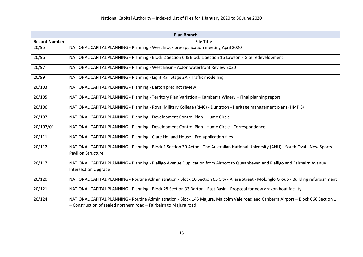| <b>Plan Branch</b>   |                                                                                                                                         |
|----------------------|-----------------------------------------------------------------------------------------------------------------------------------------|
| <b>Record Number</b> | <b>File Title</b>                                                                                                                       |
| 20/95                | NATIONAL CAPITAL PLANNING - Planning - West Block pre-application meeting April 2020                                                    |
| 20/96                | NATIONAL CAPITAL PLANNING - Planning - Block 2 Section 6 & Block 1 Section 16 Lawson - Site redevelopment                               |
| 20/97                | NATIONAL CAPITAL PLANNING - Planning - West Basin - Acton waterfront Review 2020                                                        |
| 20/99                | NATIONAL CAPITAL PLANNING - Planning - Light Rail Stage 2A - Traffic modelling                                                          |
| 20/103               | NATIONAL CAPITAL PLANNING - Planning - Barton precinct review                                                                           |
| 20/105               | NATIONAL CAPITAL PLANNING - Planning - Territory Plan Variation - Kamberra Winery - Final planning report                               |
| 20/106               | NATIONAL CAPITAL PLANNING - Planning - Royal Military College (RMC) - Duntroon - Heritage management plans (HMP'S)                      |
| 20/107               | NATIONAL CAPITAL PLANNING - Planning - Development Control Plan - Hume Circle                                                           |
| 20/107/01            | NATIONAL CAPITAL PLANNING - Planning - Development Control Plan - Hume Circle - Correspondence                                          |
| 20/111               | NATIONAL CAPITAL PLANNING - Planning - Clare Holland House - Pre-application files                                                      |
| 20/112               | NATIONAL CAPITAL PLANNING - Planning - Block 1 Section 39 Acton - The Australian National University (ANU) - South Oval - New Sports    |
|                      | <b>Pavilion Structure</b>                                                                                                               |
| 20/117               | NATIONAL CAPITAL PLANNING - Planning - Pialligo Avenue Duplication from Airport to Queanbeyan and Pialligo and Fairbairn Avenue         |
|                      | <b>Intersection Upgrade</b>                                                                                                             |
| 20/120               | NATIONAL CAPITAL PLANNING - Routine Administration - Block 10 Section 65 City - Allara Street - Molonglo Group - Building refurbishment |
| 20/121               | NATIONAL CAPITAL PLANNING - Planning - Block 28 Section 33 Barton - East Basin - Proposal for new dragon boat facility                  |
| 20/124               | NATIONAL CAPITAL PLANNING - Routine Administration - Block 146 Majura, Malcolm Vale road and Canberra Airport - Block 660 Section 1     |
|                      | - Construction of sealed northern road - Fairbairn to Majura road                                                                       |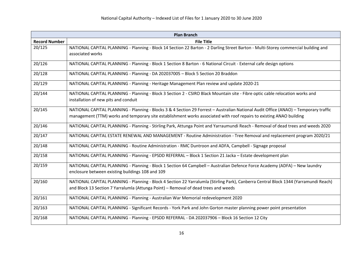| <b>Plan Branch</b>   |                                                                                                                                                                                                                                                              |
|----------------------|--------------------------------------------------------------------------------------------------------------------------------------------------------------------------------------------------------------------------------------------------------------|
| <b>Record Number</b> | <b>File Title</b>                                                                                                                                                                                                                                            |
| 20/125               | NATIONAL CAPITAL PLANNING - Planning - Block 14 Section 22 Barton - 2 Darling Street Barton - Multi-Storey commercial building and<br>associated works                                                                                                       |
| 20/126               | NATIONAL CAPITAL PLANNING - Planning - Block 1 Section 8 Barton - 6 National Circuit - External cafe design options                                                                                                                                          |
| 20/128               | NATIONAL CAPITAL PLANNING - Planning - DA 202037005 - Block 5 Section 20 Braddon                                                                                                                                                                             |
| 20/129               | NATIONAL CAPITAL PLANNING - Planning - Heritage Management Plan review and update 2020-21                                                                                                                                                                    |
| 20/144               | NATIONAL CAPITAL PLANNING - Planning - Block 3 Section 2 - CSIRO Black Mountain site - Fibre optic cable relocation works and<br>installation of new pits and conduit                                                                                        |
| 20/145               | NATIONAL CAPITAL PLANNING - Planning - Blocks 3 & 4 Section 29 Forrest - Australian National Audit Office (ANAO) - Temporary traffic<br>management (TTM) works and temporary site establishment works associated with roof repairs to existing ANAO building |
| 20/146               | NATIONAL CAPITAL PLANNING - Planning - Stirling Park, Attunga Point and Yarraumundi Reach - Removal of dead trees and weeds 2020                                                                                                                             |
| 20/147               | NATIONAL CAPITAL ESTATE RENEWAL AND MANAGEMENT - Routine Administration - Tree Removal and replacement program 2020/21                                                                                                                                       |
| 20/148               | NATIONAL CAPITAL PLANNING - Routine Administration - RMC Duntroon and ADFA, Campbell - Signage proposal                                                                                                                                                      |
| 20/158               | NATIONAL CAPITAL PLANNING - Planning - EPSDD REFERRAL - Block 1 Section 21 Jacka - Estate development plan                                                                                                                                                   |
| 20/159               | NATIONAL CAPITAL PLANNING - Planning - Block 1 Section 64 Campbell - Australian Defence Force Academy (ADFA) - New laundry<br>enclosure between existing buildings 108 and 109                                                                               |
| 20/160               | NATIONAL CAPITAL PLANNING - Planning - Block 4 Section 22 Yarralumla (Stirling Park), Canberra Central Block 1344 (Yarramundi Reach)<br>and Block 13 Section 7 Yarralumla (Attunga Point) - Removal of dead trees and weeds                                  |
| 20/161               | NATIONAL CAPITAL PLANNING - Planning - Australian War Memorial redevelopment 2020                                                                                                                                                                            |
| 20/163               | NATIONAL CAPITAL PLANNING - Significant Records - York Park and John Gorton master planning power point presentation                                                                                                                                         |
| 20/168               | NATIONAL CAPITAL PLANNING - Planning - EPSDD REFERRAL - DA 202037906 - Block 16 Section 12 City                                                                                                                                                              |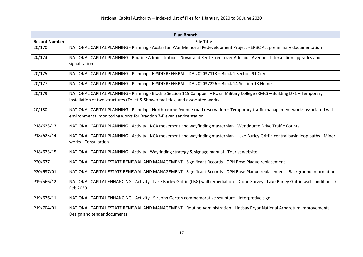| <b>Plan Branch</b>   |                                                                                                                                                                                                                    |
|----------------------|--------------------------------------------------------------------------------------------------------------------------------------------------------------------------------------------------------------------|
| <b>Record Number</b> | <b>File Title</b>                                                                                                                                                                                                  |
| 20/170               | NATIONAL CAPITAL PLANNING - Planning - Australian War Memorial Redevelopment Project - EPBC Act preliminary documentation                                                                                          |
| 20/173               | NATIONAL CAPITAL PLANNING - Routine Administration - Novar and Kent Street over Adelaide Avenue - Intersection upgrades and<br>signalisation                                                                       |
| 20/175               | NATIONAL CAPITAL PLANNING - Planning - EPSDD REFERRAL - DA 202037113 - Block 1 Section 91 City                                                                                                                     |
| 20/177               | NATIONAL CAPITAL PLANNING - Planning - EPSDD REFERRAL - DA 202037226 - Block 14 Section 18 Hume                                                                                                                    |
| 20/179               | NATIONAL CAPITAL PLANNING - Planning - Block 5 Section 119 Campbell - Royal Military College (RMC) - Building D71 - Temporary<br>Installation of two structures (Toilet & Shower facilities) and associated works. |
| 20/180               | NATIONAL CAPITAL PLANNING - Planning - Northbourne Avenue road reservation - Temporary traffic management works associated with<br>environmental monitoring works for Braddon 7-Eleven service station             |
| P18/623/13           | NATIONAL CAPITAL PLANNING - Activity - NCA movement and wayfinding masterplan - Wendouree Drive Traffic Counts                                                                                                     |
| P18/623/14           | NATIONAL CAPITAL PLANNING - Activity - NCA movement and wayfinding masterplan - Lake Burley Griffin central basin loop paths - Minor<br>works - Consultation                                                       |
| P18/623/15           | NATIONAL CAPITAL PLANNING - Activity - Wayfinding strategy & signage manual - Tourist website                                                                                                                      |
| P20/637              | NATIONAL CAPITAL ESTATE RENEWAL AND MANAGEMENT - Significant Records - OPH Rose Plaque replacement                                                                                                                 |
| P20/637/01           | NATIONAL CAPITAL ESTATE RENEWAL AND MANAGEMENT - Significant Records - OPH Rose Plaque replacement - Background information                                                                                        |
| P19/566/12           | NATIONAL CAPITAL ENHANCING - Activity - Lake Burley Griffin (LBG) wall remediation - Drone Survey - Lake Burley Griffin wall condition - 7<br>Feb 2020                                                             |
| P19/676/11           | NATIONAL CAPITAL ENHANCING - Activity - Sir John Gorton commemorative sculpture - Interpretive sign                                                                                                                |
| P19/704/01           | NATIONAL CAPITAL ESTATE RENEWAL AND MANAGEMENT - Routine Administration - Lindsay Pryor National Arboretum improvements -<br>Design and tender documents                                                           |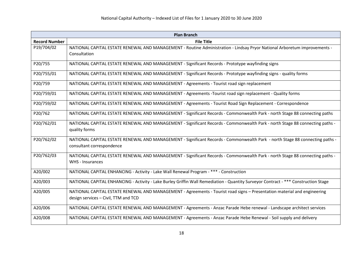| <b>Plan Branch</b>   |                                                                                                                                                                  |
|----------------------|------------------------------------------------------------------------------------------------------------------------------------------------------------------|
| <b>Record Number</b> | <b>File Title</b>                                                                                                                                                |
| P19/704/02           | NATIONAL CAPITAL ESTATE RENEWAL AND MANAGEMENT - Routine Administration - Lindsay Pryor National Arboretum improvements -<br>Consultation                        |
| P20/755              | NATIONAL CAPITAL ESTATE RENEWAL AND MANAGEMENT - Significant Records - Prototype wayfinding signs                                                                |
| P20/755/01           | NATIONAL CAPITAL ESTATE RENEWAL AND MANAGEMENT - Significant Records - Prototype wayfinding signs - quality forms                                                |
| P20/759              | NATIONAL CAPITAL ESTATE RENEWAL AND MANAGEMENT - Agreements - Tourist road sign replacement                                                                      |
| P20/759/01           | NATIONAL CAPITAL ESTATE RENEWAL AND MANAGEMENT - Agreements -Tourist road sign replacement - Quality forms                                                       |
| P20/759/02           | NATIONAL CAPITAL ESTATE RENEWAL AND MANAGEMENT - Agreements - Tourist Road Sign Replacement - Correspondence                                                     |
| P20/762              | NATIONAL CAPITAL ESTATE RENEWAL AND MANAGEMENT - Significant Records - Commonwealth Park - north Stage 88 connecting paths                                       |
| P20/762/01           | NATIONAL CAPITAL ESTATE RENEWAL AND MANAGEMENT - Significant Records - Commonwealth Park - north Stage 88 connecting paths -<br>quality forms                    |
| P20/762/02           | NATIONAL CAPITAL ESTATE RENEWAL AND MANAGEMENT - Significant Records - Commonwealth Park - north Stage 88 connecting paths -<br>consultant correspondence        |
| P20/762/03           | NATIONAL CAPITAL ESTATE RENEWAL AND MANAGEMENT - Significant Records - Commonwealth Park - north Stage 88 connecting paths -<br>WHS - Insurances                 |
| A20/002              | NATIONAL CAPITAL ENHANCING - Activity - Lake Wall Renewal Program - *** - Construction                                                                           |
| A20/003              | NATIONAL CAPITAL ENHANCING - Activity - Lake Burley Griffin Wall Remediation - Quantity Surveyor Contract - *** Construction Stage                               |
| A20/005              | NATIONAL CAPITAL ESTATE RENEWAL AND MANAGEMENT - Agreements - Tourist road signs - Presentation material and engineering<br>design services - Civil, TTM and TCD |
| A20/006              | NATIONAL CAPITAL ESTATE RENEWAL AND MANAGEMENT - Agreements - Anzac Parade Hebe renewal - Landscape architect services                                           |
| A20/008              | NATIONAL CAPITAL ESTATE RENEWAL AND MANAGEMENT - Agreements - Anzac Parade Hebe Renewal - Soil supply and delivery                                               |